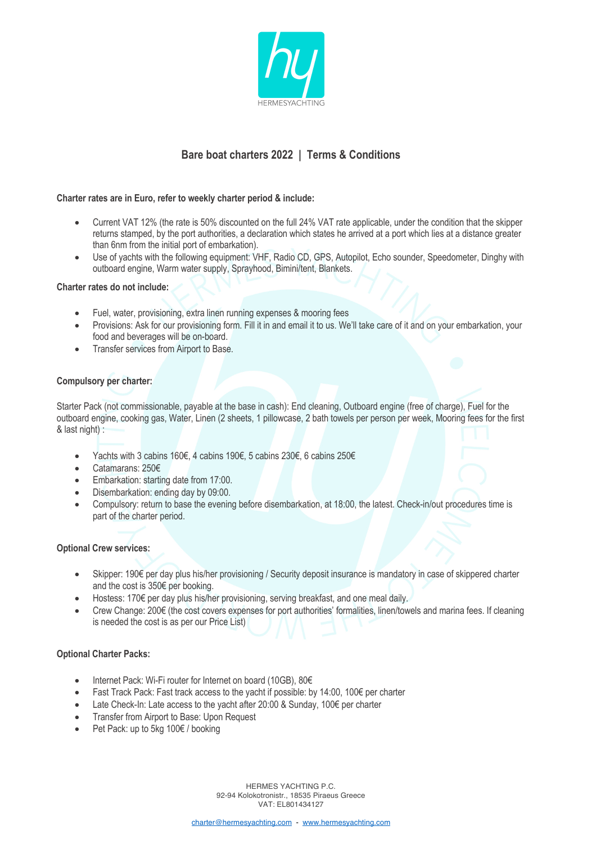

# **Bare boat charters 2022 | Terms & Conditions**

# **Charter rates are in Euro, refer to weekly charter period & include:**

- Current VAT 12% (the rate is 50% discounted on the full 24% VAT rate applicable, under the condition that the skipper returns stamped, by the port authorities, a declaration which states he arrived at a port which lies at a distance greater than 6nm from the initial port of embarkation).
- Use of yachts with the following equipment: VHF, Radio CD, GPS, Autopilot, Echo sounder, Speedometer, Dinghy with outboard engine, Warm water supply, Sprayhood, Bimini/tent, Blankets.

## **Charter rates do not include:**

- Fuel, water, provisioning, extra linen running expenses & mooring fees
- Provisions: Ask for our provisioning form. Fill it in and email it to us. We'll take care of it and on your embarkation, your food and beverages will be on-board.
- Transfer services from Airport to Base.

# **Compulsory per charter:**

Starter Pack (not commissionable, payable at the base in cash): End cleaning, Outboard engine (free of charge), Fuel for the outboard engine, cooking gas, Water, Linen (2 sheets, 1 pillowcase, 2 bath towels per person per week, Mooring fees for the first & last night) :

- Yachts with 3 cabins 160€, 4 cabins 190€, 5 cabins 230€, 6 cabins 250€
- Catamarans: 250€
- Embarkation: starting date from 17:00.
- Disembarkation: ending day by 09:00.
- Compulsory: return to base the evening before disembarkation, at 18:00, the latest. Check-in/out procedures time is part of the charter period.

## **Optional Crew services:**

- Skipper: 190€ per day plus his/her provisioning / Security deposit insurance is mandatory in case of skippered charter and the cost is 350€ per booking.
- Hostess: 170€ per day plus his/her provisioning, serving breakfast, and one meal daily.
- Crew Change: 200€ (the cost covers expenses for port authorities' formalities, linen/towels and marina fees. If cleaning is needed the cost is as per our Price List)

## **Optional Charter Packs:**

- Internet Pack: Wi-Fi router for Internet on board (10GB), 80€
- Fast Track Pack: Fast track access to the yacht if possible: by 14:00, 100€ per charter
- Late Check-In: Late access to the yacht after 20:00 & Sunday, 100€ per charter
- Transfer from Airport to Base: Upon Request
- Pet Pack: up to 5kg 100€ / booking

HERMES YACHTING P.C. 92-94 Kolokotronistr., 18535 Piraeus Greece VAT: EL801434127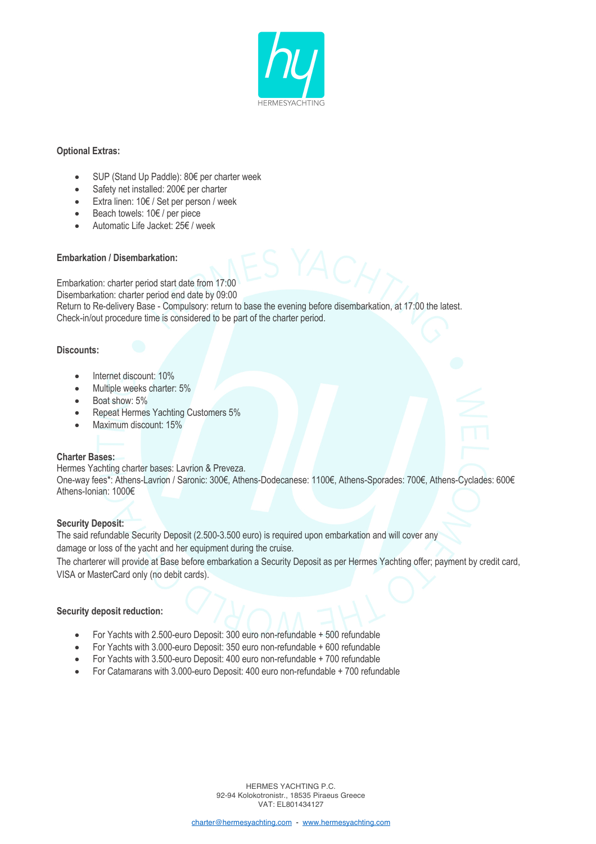

# **Optional Extras:**

- SUP (Stand Up Paddle): 80€ per charter week
- Safety net installed: 200€ per charter
- Extra linen: 10€ / Set per person / week
- Beach towels: 10€ / per piece
- Automatic Life Jacket: 25€ / week

# **Embarkation / Disembarkation:**

Embarkation: charter period start date from 17:00

Disembarkation: charter period end date by 09:00

Return to Re-delivery Base - Compulsory: return to base the evening before disembarkation, at 17:00 the latest. Check-in/out procedure time is considered to be part of the charter period.

# **Discounts:**

- Internet discount: 10%
- Multiple weeks charter: 5%
- Boat show: 5%
- Repeat Hermes Yachting Customers 5%
- Maximum discount: 15%

# **Charter Bases:**

Hermes Yachting charter bases: Lavrion & Preveza. One-way fees\*: Athens-Lavrion / Saronic: 300€, Athens-Dodecanese: 1100€, Athens-Sporades: 700€, Athens-Cyclades: 600€ Athens-Ionian: 1000€

## **Security Deposit:**

The said refundable Security Deposit (2.500-3.500 euro) is required upon embarkation and will cover any damage or loss of the yacht and her equipment during the cruise.

The charterer will provide at Base before embarkation a Security Deposit as per Hermes Yachting offer; payment by credit card, VISA or MasterCard only (no debit cards).

# **Security deposit reduction:**

- For Yachts with 2.500-euro Deposit: 300 euro non-refundable + 500 refundable
- For Yachts with 3.000-euro Deposit: 350 euro non-refundable + 600 refundable
- For Yachts with 3.500-euro Deposit: 400 euro non-refundable + 700 refundable
- For Catamarans with 3.000-euro Deposit: 400 euro non-refundable + 700 refundable

HERMES YACHTING P.C. 92-94 Kolokotronistr., 18535 Piraeus Greece VAT: EL801434127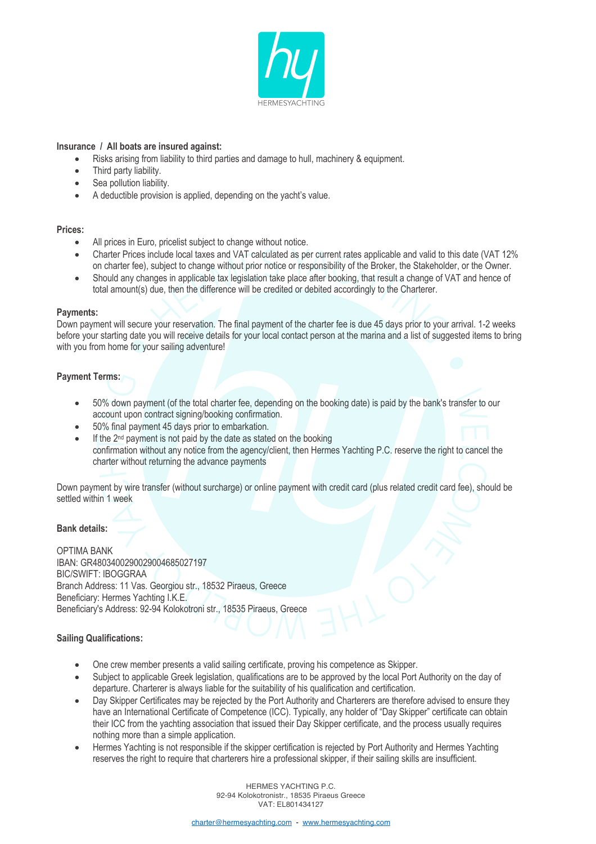

## **Insurance / All boats are insured against:**

- Risks arising from liability to third parties and damage to hull, machinery & equipment.
- Third party liability.
- Sea pollution liability.
- A deductible provision is applied, depending on the yacht's value.

#### **Prices:**

- All prices in Euro, pricelist subject to change without notice.
- Charter Prices include local taxes and VAT calculated as per current rates applicable and valid to this date (VAT 12% on charter fee), subject to change without prior notice or responsibility of the Broker, the Stakeholder, or the Owner.
- Should any changes in applicable tax legislation take place after booking, that result a change of VAT and hence of total amount(s) due, then the difference will be credited or debited accordingly to the Charterer.

#### **Payments:**

Down payment will secure your reservation. The final payment of the charter fee is due 45 days prior to your arrival. 1-2 weeks before your starting date you will receive details for your local contact person at the marina and a list of suggested items to bring with you from home for your sailing adventure!

# **Payment Terms:**

- 50% down payment (of the total charter fee, depending on the booking date) is paid by the bank's transfer to our account upon contract signing/booking confirmation.
- 50% final payment 45 days prior to embarkation.
- If the  $2<sup>nd</sup>$  payment is not paid by the date as stated on the booking confirmation without any notice from the agency/client, then Hermes Yachting P.C. reserve the right to cancel the charter without returning the advance payments

Down payment by wire transfer (without surcharge) or online payment with credit card (plus related credit card fee), should be settled within 1 week

## **Bank details:**

OPTIMA BANK IBAN: GR4803400290029004685027197 BIC/SWIFT: IBOGGRAA Branch Address: 11 Vas. Georgiou str., 18532 Piraeus, Greece Beneficiary: Hermes Yachting I.K.E. Beneficiary's Address: 92-94 Kolokotroni str., 18535 Piraeus, Greece

## **Sailing Qualifications:**

- One crew member presents a valid sailing certificate, proving his competence as Skipper.
- Subject to applicable Greek legislation, qualifications are to be approved by the local Port Authority on the day of departure. Charterer is always liable for the suitability of his qualification and certification.
- Day Skipper Certificates may be rejected by the Port Authority and Charterers are therefore advised to ensure they have an International Certificate of Competence (ICC). Typically, any holder of "Day Skipper" certificate can obtain their ICC from the yachting association that issued their Day Skipper certificate, and the process usually requires nothing more than a simple application.
- Hermes Yachting is not responsible if the skipper certification is rejected by Port Authority and Hermes Yachting reserves the right to require that charterers hire a professional skipper, if their sailing skills are insufficient.